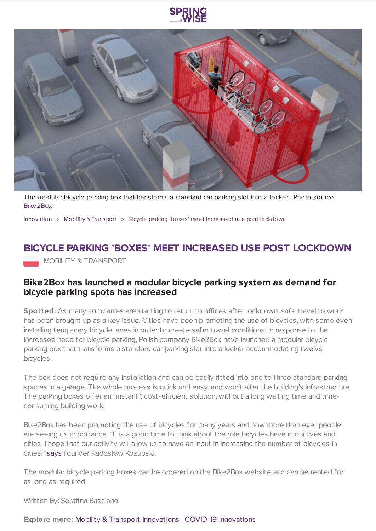

The modular bicycle parking box that transforms a standard car parking slot into a locker | Photo source [Bike2Box](https://bike2box.com/)

[Innovation](https://www.springwise.com/search?type=innovation) > Mobility & [Transport](https://www.springwise.com/search?type=innovation§or=mobility-and-transport) > Bicycle parking 'boxes' meet increased use pos t lockdown

# **BICYCLE PARKING 'BOXES' MEET INCREASED USE POST LOCKDOWN**

**MOBILITY & TRANSPORT** 

### **Bike2Box has launched a modular bicycle parking system as demand for bicycle parking spots has increased**

**Spotted:** As many companies are starting to return to offices after lockdown, safe travel to work has been brought up as a key issue. Cities have been promoting the use of bicycles, with some even installing temporary bicycle lanes in order to create safer travel conditions. In response to the increased need for bicycle parking, Polish company Bike2Box have launched a modular bicycle parking box that transforms a standard car parking slot into a locker accommodating twelve bicycles.

The box does not require any installation and can be easily fitted into one to three standard parking spaces in a garage. The whole process is quick and easy, and won't alter the building's infrastructure. The parking boxes offer an "instant", cost-efficient solution, without a long waiting time and timeconsuming building work.

Bike2Box has been promoting the use of bicycles for many years and now more than ever people are seeing its importance. "It is a good time to think about the role bicycles have in our lives and cities. I hope that our activity will allow us to have an input in increasing the number of bicycles in cities," [says](https://www.covidinnovations.com/home/02072020/polish-company-bike2box-introduces-temporary-bicycle-parking-boxes-to-meet-growing-demand-post-lockdown) founder Radosław Kozubski.

The modular bicycle parking boxes can be ordered on the Bike2Box website and can be rented for as long as required.

Written By: Serafina Basciano

#### **Explore more:** Mobility & Transport [Innovations](https://www.springwise.com/mobility-and-transport-innovations/) | COVID-19 [Innovations](https://www.springwise.com/innovations-in-response-to-coronavirus/)